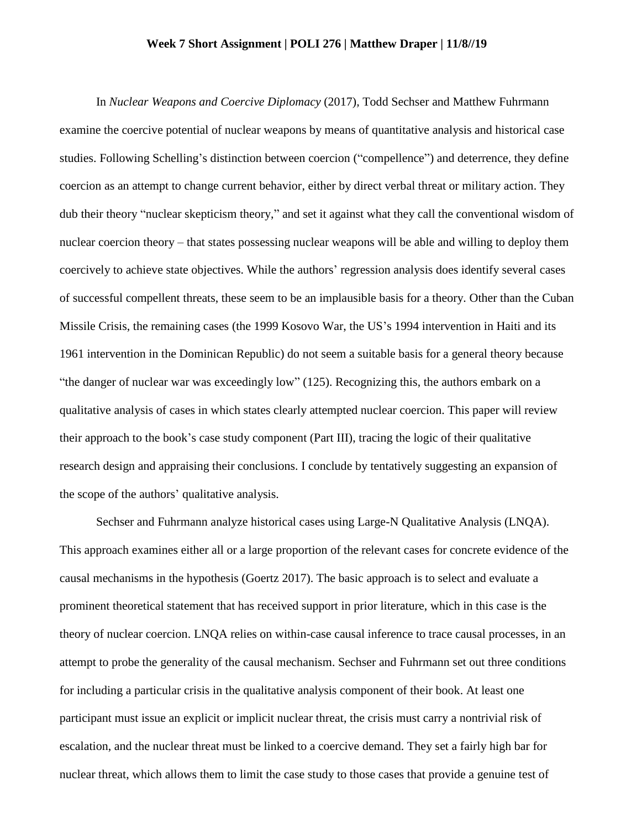## **Week 7 Short Assignment | POLI 276 | Matthew Draper | 11/8//19**

In *Nuclear Weapons and Coercive Diplomacy* (2017)*,* Todd Sechser and Matthew Fuhrmann examine the coercive potential of nuclear weapons by means of quantitative analysis and historical case studies. Following Schelling's distinction between coercion ("compellence") and deterrence, they define coercion as an attempt to change current behavior, either by direct verbal threat or military action. They dub their theory "nuclear skepticism theory," and set it against what they call the conventional wisdom of nuclear coercion theory – that states possessing nuclear weapons will be able and willing to deploy them coercively to achieve state objectives. While the authors' regression analysis does identify several cases of successful compellent threats, these seem to be an implausible basis for a theory. Other than the Cuban Missile Crisis, the remaining cases (the 1999 Kosovo War, the US's 1994 intervention in Haiti and its 1961 intervention in the Dominican Republic) do not seem a suitable basis for a general theory because "the danger of nuclear war was exceedingly low" (125). Recognizing this, the authors embark on a qualitative analysis of cases in which states clearly attempted nuclear coercion. This paper will review their approach to the book's case study component (Part III), tracing the logic of their qualitative research design and appraising their conclusions. I conclude by tentatively suggesting an expansion of the scope of the authors' qualitative analysis.

Sechser and Fuhrmann analyze historical cases using Large-N Qualitative Analysis (LNQA). This approach examines either all or a large proportion of the relevant cases for concrete evidence of the causal mechanisms in the hypothesis (Goertz 2017). The basic approach is to select and evaluate a prominent theoretical statement that has received support in prior literature, which in this case is the theory of nuclear coercion. LNQA relies on within-case causal inference to trace causal processes, in an attempt to probe the generality of the causal mechanism. Sechser and Fuhrmann set out three conditions for including a particular crisis in the qualitative analysis component of their book. At least one participant must issue an explicit or implicit nuclear threat, the crisis must carry a nontrivial risk of escalation, and the nuclear threat must be linked to a coercive demand. They set a fairly high bar for nuclear threat, which allows them to limit the case study to those cases that provide a genuine test of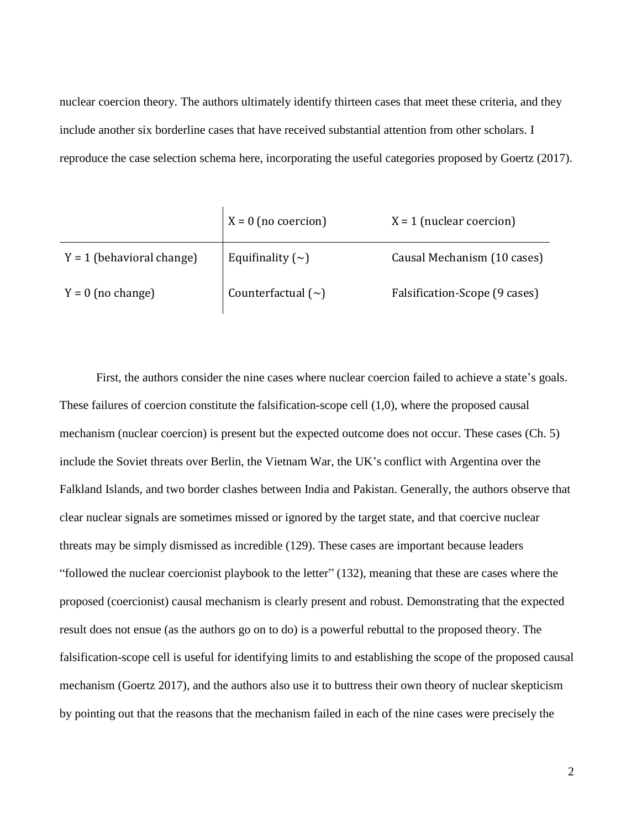nuclear coercion theory. The authors ultimately identify thirteen cases that meet these criteria, and they include another six borderline cases that have received substantial attention from other scholars. I reproduce the case selection schema here, incorporating the useful categories proposed by Goertz (2017).

|                             | $X = 0$ (no coercion)   | $X = 1$ (nuclear coercion)    |
|-----------------------------|-------------------------|-------------------------------|
| $Y = 1$ (behavioral change) | Equifinality $(\sim)$   | Causal Mechanism (10 cases)   |
| $Y = 0$ (no change)         | Counterfactual $(\sim)$ | Falsification-Scope (9 cases) |

First, the authors consider the nine cases where nuclear coercion failed to achieve a state's goals. These failures of coercion constitute the falsification-scope cell (1,0), where the proposed causal mechanism (nuclear coercion) is present but the expected outcome does not occur. These cases (Ch. 5) include the Soviet threats over Berlin, the Vietnam War, the UK's conflict with Argentina over the Falkland Islands, and two border clashes between India and Pakistan. Generally, the authors observe that clear nuclear signals are sometimes missed or ignored by the target state, and that coercive nuclear threats may be simply dismissed as incredible (129). These cases are important because leaders "followed the nuclear coercionist playbook to the letter" (132), meaning that these are cases where the proposed (coercionist) causal mechanism is clearly present and robust. Demonstrating that the expected result does not ensue (as the authors go on to do) is a powerful rebuttal to the proposed theory. The falsification-scope cell is useful for identifying limits to and establishing the scope of the proposed causal mechanism (Goertz 2017), and the authors also use it to buttress their own theory of nuclear skepticism by pointing out that the reasons that the mechanism failed in each of the nine cases were precisely the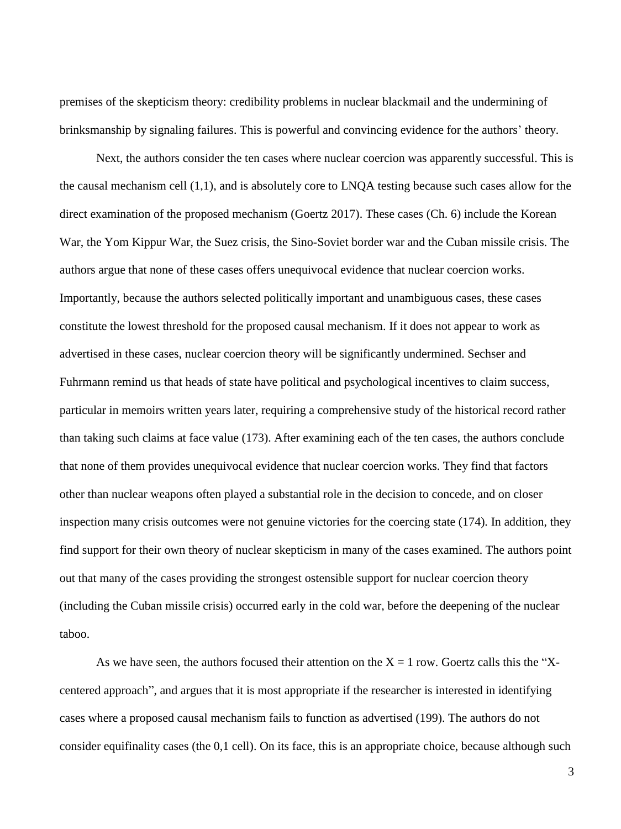premises of the skepticism theory: credibility problems in nuclear blackmail and the undermining of brinksmanship by signaling failures. This is powerful and convincing evidence for the authors' theory.

Next, the authors consider the ten cases where nuclear coercion was apparently successful. This is the causal mechanism cell (1,1), and is absolutely core to LNQA testing because such cases allow for the direct examination of the proposed mechanism (Goertz 2017). These cases (Ch. 6) include the Korean War, the Yom Kippur War, the Suez crisis, the Sino-Soviet border war and the Cuban missile crisis. The authors argue that none of these cases offers unequivocal evidence that nuclear coercion works. Importantly, because the authors selected politically important and unambiguous cases, these cases constitute the lowest threshold for the proposed causal mechanism. If it does not appear to work as advertised in these cases, nuclear coercion theory will be significantly undermined. Sechser and Fuhrmann remind us that heads of state have political and psychological incentives to claim success, particular in memoirs written years later, requiring a comprehensive study of the historical record rather than taking such claims at face value (173). After examining each of the ten cases, the authors conclude that none of them provides unequivocal evidence that nuclear coercion works. They find that factors other than nuclear weapons often played a substantial role in the decision to concede, and on closer inspection many crisis outcomes were not genuine victories for the coercing state (174). In addition, they find support for their own theory of nuclear skepticism in many of the cases examined. The authors point out that many of the cases providing the strongest ostensible support for nuclear coercion theory (including the Cuban missile crisis) occurred early in the cold war, before the deepening of the nuclear taboo.

As we have seen, the authors focused their attention on the  $X = 1$  row. Goertz calls this the "Xcentered approach", and argues that it is most appropriate if the researcher is interested in identifying cases where a proposed causal mechanism fails to function as advertised (199). The authors do not consider equifinality cases (the 0,1 cell). On its face, this is an appropriate choice, because although such